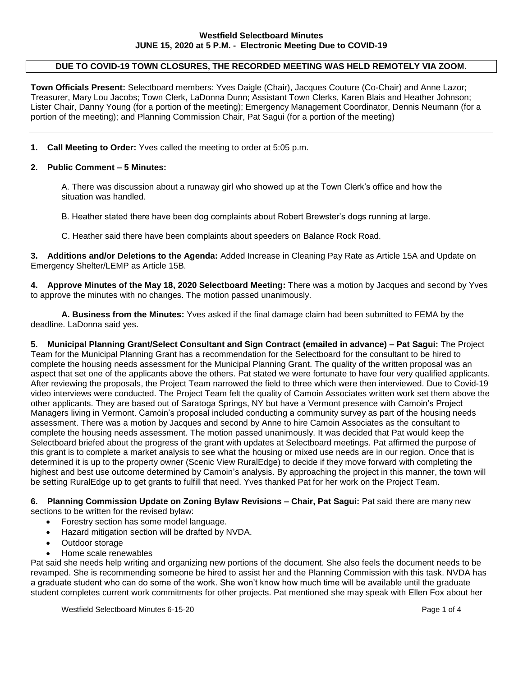# **DUE TO COVID-19 TOWN CLOSURES, THE RECORDED MEETING WAS HELD REMOTELY VIA ZOOM.**

**Town Officials Present:** Selectboard members: Yves Daigle (Chair), Jacques Couture (Co-Chair) and Anne Lazor; Treasurer, Mary Lou Jacobs; Town Clerk, LaDonna Dunn; Assistant Town Clerks, Karen Blais and Heather Johnson; Lister Chair, Danny Young (for a portion of the meeting); Emergency Management Coordinator, Dennis Neumann (for a portion of the meeting); and Planning Commission Chair, Pat Sagui (for a portion of the meeting)

**1. Call Meeting to Order:** Yves called the meeting to order at 5:05 p.m.

### **2. Public Comment – 5 Minutes:**

A. There was discussion about a runaway girl who showed up at the Town Clerk's office and how the situation was handled.

B. Heather stated there have been dog complaints about Robert Brewster's dogs running at large.

C. Heather said there have been complaints about speeders on Balance Rock Road.

**3. Additions and/or Deletions to the Agenda:** Added Increase in Cleaning Pay Rate as Article 15A and Update on Emergency Shelter/LEMP as Article 15B.

**4. Approve Minutes of the May 18, 2020 Selectboard Meeting:** There was a motion by Jacques and second by Yves to approve the minutes with no changes. The motion passed unanimously.

**A. Business from the Minutes:** Yves asked if the final damage claim had been submitted to FEMA by the deadline. LaDonna said yes.

**5. Municipal Planning Grant/Select Consultant and Sign Contract (emailed in advance) – Pat Sagui:** The Project Team for the Municipal Planning Grant has a recommendation for the Selectboard for the consultant to be hired to complete the housing needs assessment for the Municipal Planning Grant. The quality of the written proposal was an aspect that set one of the applicants above the others. Pat stated we were fortunate to have four very qualified applicants. After reviewing the proposals, the Project Team narrowed the field to three which were then interviewed. Due to Covid-19 video interviews were conducted. The Project Team felt the quality of Camoin Associates written work set them above the other applicants. They are based out of Saratoga Springs, NY but have a Vermont presence with Camoin's Project Managers living in Vermont. Camoin's proposal included conducting a community survey as part of the housing needs assessment. There was a motion by Jacques and second by Anne to hire Camoin Associates as the consultant to complete the housing needs assessment. The motion passed unanimously. It was decided that Pat would keep the Selectboard briefed about the progress of the grant with updates at Selectboard meetings. Pat affirmed the purpose of this grant is to complete a market analysis to see what the housing or mixed use needs are in our region. Once that is determined it is up to the property owner (Scenic View RuralEdge) to decide if they move forward with completing the highest and best use outcome determined by Camoin's analysis. By approaching the project in this manner, the town will be setting RuralEdge up to get grants to fulfill that need. Yves thanked Pat for her work on the Project Team.

**6. Planning Commission Update on Zoning Bylaw Revisions – Chair, Pat Sagui:** Pat said there are many new sections to be written for the revised bylaw:

- Forestry section has some model language.
- Hazard mitigation section will be drafted by NVDA.
- Outdoor storage
- Home scale renewables

Pat said she needs help writing and organizing new portions of the document. She also feels the document needs to be revamped. She is recommending someone be hired to assist her and the Planning Commission with this task. NVDA has a graduate student who can do some of the work. She won't know how much time will be available until the graduate student completes current work commitments for other projects. Pat mentioned she may speak with Ellen Fox about her

Westfield Selectboard Minutes 6-15-20 **Page 1 of 4** Page 1 of 4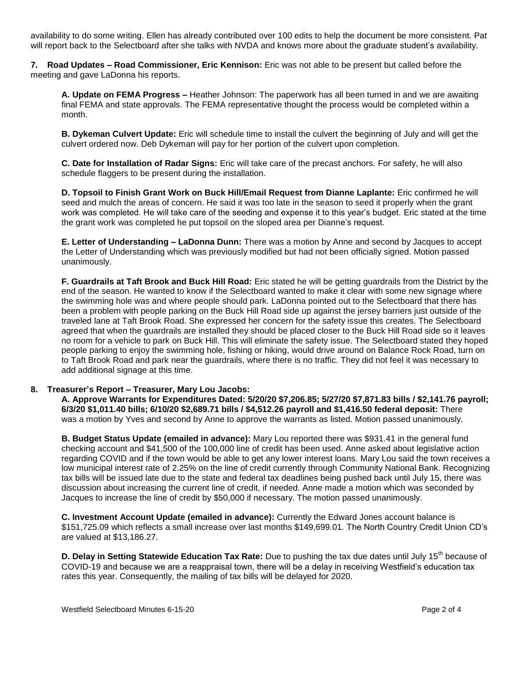availability to do some writing. Ellen has already contributed over 100 edits to help the document be more consistent. Pat will report back to the Selectboard after she talks with NVDA and knows more about the graduate student's availability.

**7. Road Updates – Road Commissioner, Eric Kennison:** Eric was not able to be present but called before the meeting and gave LaDonna his reports.

**A. Update on FEMA Progress –** Heather Johnson: The paperwork has all been turned in and we are awaiting final FEMA and state approvals. The FEMA representative thought the process would be completed within a month.

**B. Dykeman Culvert Update:** Eric will schedule time to install the culvert the beginning of July and will get the culvert ordered now. Deb Dykeman will pay for her portion of the culvert upon completion.

**C. Date for Installation of Radar Signs:** Eric will take care of the precast anchors. For safety, he will also schedule flaggers to be present during the installation.

**D. Topsoil to Finish Grant Work on Buck Hill/Email Request from Dianne Laplante:** Eric confirmed he will seed and mulch the areas of concern. He said it was too late in the season to seed it properly when the grant work was completed. He will take care of the seeding and expense it to this year's budget. Eric stated at the time the grant work was completed he put topsoil on the sloped area per Dianne's request.

**E. Letter of Understanding – LaDonna Dunn:** There was a motion by Anne and second by Jacques to accept the Letter of Understanding which was previously modified but had not been officially signed. Motion passed unanimously.

**F. Guardrails at Taft Brook and Buck Hill Road:** Eric stated he will be getting guardrails from the District by the end of the season. He wanted to know if the Selectboard wanted to make it clear with some new signage where the swimming hole was and where people should park. LaDonna pointed out to the Selectboard that there has been a problem with people parking on the Buck Hill Road side up against the jersey barriers just outside of the traveled lane at Taft Brook Road. She expressed her concern for the safety issue this creates. The Selectboard agreed that when the guardrails are installed they should be placed closer to the Buck Hill Road side so it leaves no room for a vehicle to park on Buck Hill. This will eliminate the safety issue. The Selectboard stated they hoped people parking to enjoy the swimming hole, fishing or hiking, would drive around on Balance Rock Road, turn on to Taft Brook Road and park near the guardrails, where there is no traffic. They did not feel it was necessary to add additional signage at this time.

#### **8. Treasurer's Report – Treasurer, Mary Lou Jacobs:**

**A. Approve Warrants for Expenditures Dated: 5/20/20 \$7,206.85; 5/27/20 \$7,871.83 bills / \$2,141.76 payroll; 6/3/20 \$1,011.40 bills; 6/10/20 \$2,689.71 bills / \$4,512.26 payroll and \$1,416.50 federal deposit:** There was a motion by Yves and second by Anne to approve the warrants as listed. Motion passed unanimously.

**B. Budget Status Update (emailed in advance):** Mary Lou reported there was \$931.41 in the general fund checking account and \$41,500 of the 100,000 line of credit has been used. Anne asked about legislative action regarding COVID and if the town would be able to get any lower interest loans. Mary Lou said the town receives a low municipal interest rate of 2.25% on the line of credit currently through Community National Bank. Recognizing tax bills will be issued late due to the state and federal tax deadlines being pushed back until July 15, there was discussion about increasing the current line of credit, if needed. Anne made a motion which was seconded by Jacques to increase the line of credit by \$50,000 if necessary. The motion passed unanimously.

**C. Investment Account Update (emailed in advance):** Currently the Edward Jones account balance is \$151,725.09 which reflects a small increase over last months \$149,699.01. The North Country Credit Union CD's are valued at \$13,186.27.

**D. Delay in Setting Statewide Education Tax Rate:** Due to pushing the tax due dates until July 15<sup>th</sup> because of COVID-19 and because we are a reappraisal town, there will be a delay in receiving Westfield's education tax rates this year. Consequently, the mailing of tax bills will be delayed for 2020.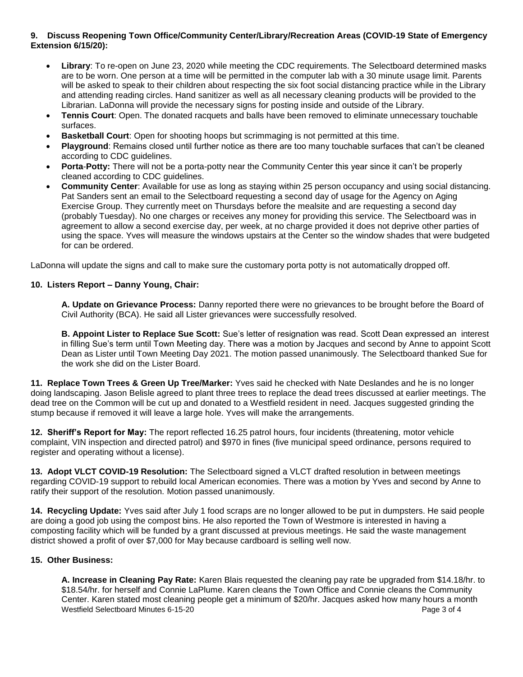# **9. Discuss Reopening Town Office/Community Center/Library/Recreation Areas (COVID-19 State of Emergency Extension 6/15/20):**

- **Library**: To re-open on June 23, 2020 while meeting the CDC requirements. The Selectboard determined masks are to be worn. One person at a time will be permitted in the computer lab with a 30 minute usage limit. Parents will be asked to speak to their children about respecting the six foot social distancing practice while in the Library and attending reading circles. Hand sanitizer as well as all necessary cleaning products will be provided to the Librarian. LaDonna will provide the necessary signs for posting inside and outside of the Library.
- **Tennis Court**: Open. The donated racquets and balls have been removed to eliminate unnecessary touchable surfaces.
- **Basketball Court**: Open for shooting hoops but scrimmaging is not permitted at this time.
- **Playground**: Remains closed until further notice as there are too many touchable surfaces that can't be cleaned according to CDC guidelines.
- **Porta**-**Potty:** There will not be a porta-potty near the Community Center this year since it can't be properly cleaned according to CDC guidelines.
- **Community Center**: Available for use as long as staying within 25 person occupancy and using social distancing. Pat Sanders sent an email to the Selectboard requesting a second day of usage for the Agency on Aging Exercise Group. They currently meet on Thursdays before the mealsite and are requesting a second day (probably Tuesday). No one charges or receives any money for providing this service. The Selectboard was in agreement to allow a second exercise day, per week, at no charge provided it does not deprive other parties of using the space. Yves will measure the windows upstairs at the Center so the window shades that were budgeted for can be ordered.

LaDonna will update the signs and call to make sure the customary porta potty is not automatically dropped off.

# **10. Listers Report – Danny Young, Chair:**

**A. Update on Grievance Process:** Danny reported there were no grievances to be brought before the Board of Civil Authority (BCA). He said all Lister grievances were successfully resolved.

**B. Appoint Lister to Replace Sue Scott:** Sue's letter of resignation was read. Scott Dean expressed an interest in filling Sue's term until Town Meeting day. There was a motion by Jacques and second by Anne to appoint Scott Dean as Lister until Town Meeting Day 2021. The motion passed unanimously. The Selectboard thanked Sue for the work she did on the Lister Board.

**11. Replace Town Trees & Green Up Tree/Marker:** Yves said he checked with Nate Deslandes and he is no longer doing landscaping. Jason Belisle agreed to plant three trees to replace the dead trees discussed at earlier meetings. The dead tree on the Common will be cut up and donated to a Westfield resident in need. Jacques suggested grinding the stump because if removed it will leave a large hole. Yves will make the arrangements.

**12. Sheriff's Report for May:** The report reflected 16.25 patrol hours, four incidents (threatening, motor vehicle complaint, VIN inspection and directed patrol) and \$970 in fines (five municipal speed ordinance, persons required to register and operating without a license).

**13. Adopt VLCT COVID-19 Resolution:** The Selectboard signed a VLCT drafted resolution in between meetings regarding COVID-19 support to rebuild local American economies. There was a motion by Yves and second by Anne to ratify their support of the resolution. Motion passed unanimously.

**14. Recycling Update:** Yves said after July 1 food scraps are no longer allowed to be put in dumpsters. He said people are doing a good job using the compost bins. He also reported the Town of Westmore is interested in having a composting facility which will be funded by a grant discussed at previous meetings. He said the waste management district showed a profit of over \$7,000 for May because cardboard is selling well now.

# **15. Other Business:**

Westfield Selectboard Minutes 6-15-20 **Page 3 of 4** Page 3 of 4 **A. Increase in Cleaning Pay Rate:** Karen Blais requested the cleaning pay rate be upgraded from \$14.18/hr. to \$18.54/hr. for herself and Connie LaPlume. Karen cleans the Town Office and Connie cleans the Community Center. Karen stated most cleaning people get a minimum of \$20/hr. Jacques asked how many hours a month